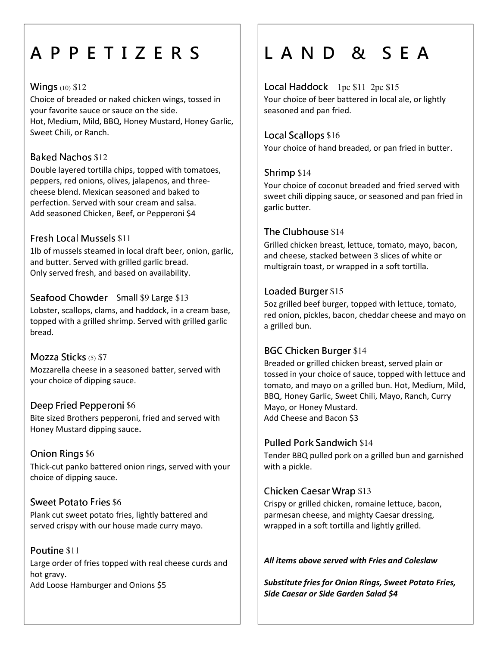## A P P E T I Z E R S

### Wings (10) \$12

Choice of breaded or naked chicken wings, tossed in your favorite sauce or sauce on the side. Hot, Medium, Mild, BBQ, Honey Mustard, Honey Garlic, Sweet Chili, or Ranch.

## **Baked Nachos \$12**

Double layered tortilla chips, topped with tomatoes, peppers, red onions, olives, jalapenos, and threecheese blend. Mexican seasoned and baked to perfection. Served with sour cream and salsa. Add seasoned Chicken, Beef, or Pepperoni \$4

### Fresh Local Mussels \$11

1lb of mussels steamed in local draft beer, onion, garlic, and butter. Served with grilled garlic bread. Only served fresh, and based on availability.

Seafood Chowder Small \$9 Large \$13 Lobster, scallops, clams, and haddock, in a cream base, topped with a grilled shrimp. Served with grilled garlic bread.

### Mozza Sticks (5) \$7

Mozzarella cheese in a seasoned batter, served with your choice of dipping sauce.

#### Deep Fried Pepperoni \$6

Bite sized Brothers pepperoni, fried and served with Honey Mustard dipping sauce.

## Onion Rings \$6

Thick-cut panko battered onion rings, served with your choice of dipping sauce.

## Sweet Potato Fries \$6

Plank cut sweet potato fries, lightly battered and served crispy with our house made curry mayo.

#### Poutine \$11 Large order of fries topped with real cheese curds and hot gravy. Add Loose Hamburger and Onions \$5

## L A N D & S E A

Local Haddock 1pc \$11 2pc \$15 Your choice of beer battered in local ale, or lightly seasoned and pan fried.

## Local Scallops \$16 Your choice of hand breaded, or pan fried in butter.

### Shrimp \$14

Your choice of coconut breaded and fried served with sweet chili dipping sauce, or seasoned and pan fried in garlic butter.

### The Clubhouse \$14

Grilled chicken breast, lettuce, tomato, mayo, bacon, and cheese, stacked between 3 slices of white or multigrain toast, or wrapped in a soft tortilla.

### Loaded Burger \$15

5oz grilled beef burger, topped with lettuce, tomato, red onion, pickles, bacon, cheddar cheese and mayo on a grilled bun.

## BGC Chicken Burger \$14

Breaded or grilled chicken breast, served plain or tossed in your choice of sauce, topped with lettuce and tomato, and mayo on a grilled bun. Hot, Medium, Mild, BBQ, Honey Garlic, Sweet Chili, Mayo, Ranch, Curry Mayo, or Honey Mustard. Add Cheese and Bacon \$3

#### Pulled Pork Sandwich \$14

Tender BBQ pulled pork on a grilled bun and garnished with a pickle.

## Chicken Caesar Wrap \$13

Crispy or grilled chicken, romaine lettuce, bacon, parmesan cheese, and mighty Caesar dressing, wrapped in a soft tortilla and lightly grilled.

#### All items above served with Fries and Coleslaw

Substitute fries for Onion Rings, Sweet Potato Fries, Side Caesar or Side Garden Salad \$4